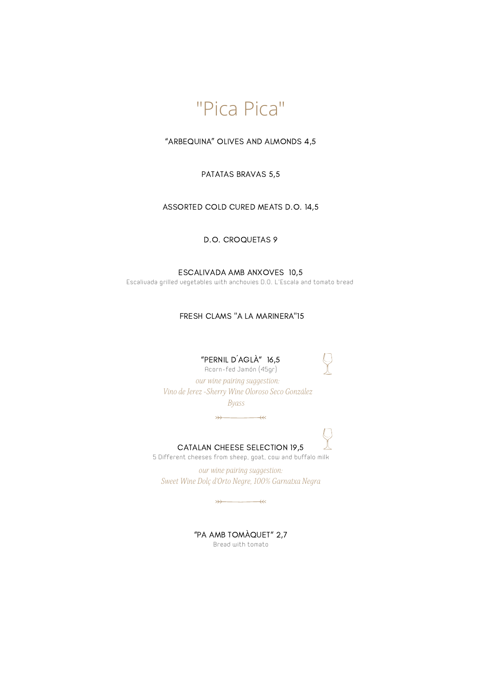

"ARBEQUINA" OLIVES AND ALMONDS 4,5

PATATAS BRAVAS 5,5

ASSORTED COLD CURED MEATS D.O. 14,5

D.O. CROQUETAS 9

ESCALIVADA AMB ANXOVES 10,5 Escalivada grilled vegetables with anchovies D.O. L'Escala and tomato bread

FRESH CLAMS "A LA MARINERA"15

"PERNIL D´AGLÀ" 16,5

Acorn-fed Jamón (45gr)

*our wine pairing suggestion: Vino deJerez-Sherry Wine Oloroso Seco González*

*Byass*

 $\rightarrow$ 



CATALAN CHEESE SELECTION 19,5

5 Different cheeses from sheep, goat, cow and buffalo milk

*our wine pairing suggestion: Sweet Wine Dolç d'Orto Negre, 100% Garnatxa Negra*

"PA AMB TOMÀQUET" 2,7 Bread with tomato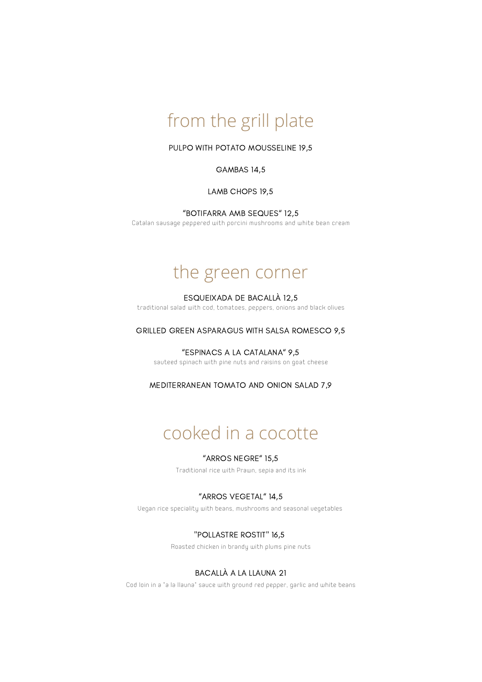# from the grill plate

PULPO WITH POTATO MOUSSELINE 19,5

#### GAMBAS 14,5

LAMB CHOPS 19,5

"BOTIFARRA AMB SEQUES" 12,5

Catalan sausage peppered with porcini mushrooms and white bean cream

# the green corner

#### ESQUEIXADA DE BACALLÀ 12,5

traditional salad with cod, tomatoes, peppers, onions and black olives

GRILLED GREEN ASPARAGUS WITH SALSA ROMESCO 9,5

"ESPINACS A LA CATALANA" 9,5 sauteed spinach with pine nuts and raisins on goat cheese

MEDITERRANEAN TOMATO AND ONION SALAD 7,9

# cooked in a cocotte

## "ARROS NEGRE" 15,5

Traditional rice with Prawn, sepia and its ink

### "ARROS VEGETAL" 14,5

Vegan rice speciality with beans, mushrooms and seasonal vegetables

#### "POLLASTRE ROSTIT" 16,5

Roasted chicken in brandy with plums pine nuts

### BACALLÀ A LA LLAUNA 21

Cod loin in a "a la llauna" sauce with ground red pepper, garlic and white beans